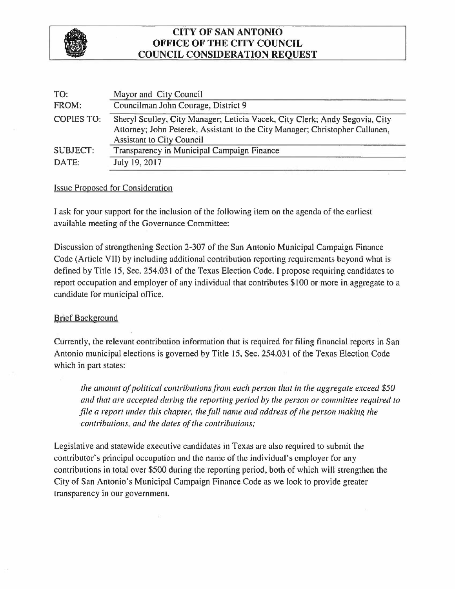

## **CITY OF SAN ANTONIO OFFICE OF THE CITY COUNCIL COUNCIL CONSIDERATION REQUEST**

| TO:               | Mayor and City Council                                                                                                                                                                          |
|-------------------|-------------------------------------------------------------------------------------------------------------------------------------------------------------------------------------------------|
| FROM:             | Councilman John Courage, District 9                                                                                                                                                             |
| <b>COPIES TO:</b> | Sheryl Sculley, City Manager; Leticia Vacek, City Clerk; Andy Segovia, City<br>Attorney; John Peterek, Assistant to the City Manager; Christopher Callanen,<br><b>Assistant to City Council</b> |
| <b>SUBJECT:</b>   | Transparency in Municipal Campaign Finance                                                                                                                                                      |
| DATE:             | July 19, 2017                                                                                                                                                                                   |
|                   |                                                                                                                                                                                                 |

## Issue Proposed for Consideration

I ask for your support for the inclusion of the following item on the agenda of the earliest available meeting of the Governance Committee:

Discussion of strengthening Section 2-307 of the San Antonio Municipal Campaign Finance Code (Article VII) by including additional contribution reporting requirements beyond what is defined by Title 15, Sec. 254.031 of the Texas Election Code. I propose requiring candidates to report occupation and employer of any individual that contributes \$100 or more in aggregate to a candidate for municipal office.

## Brief Background

Currently, the relevant contribution information that is required for filing financial reports in San Antonio municipal elections is governed by Title 15, Sec. 254.031 of the Texas Election Code which in part states:

*the amount of political contributions from each person that in the aggregate exceed \$50* and that are accepted during the reporting period by the person or committee required to *file a report under this chapter, the full name and address of the person making the contributions, and the dates of the contributions;* 

Legislative and statewide executive candidates in Texas are also required to submit the contributor's principal occupation and the name of the individual's employer for any contributions in total over \$500 during the reporting period, both of which will strengthen the City of San Antonio's Municipal Campaign Finance Code as we look to provide greater transparency in our government.